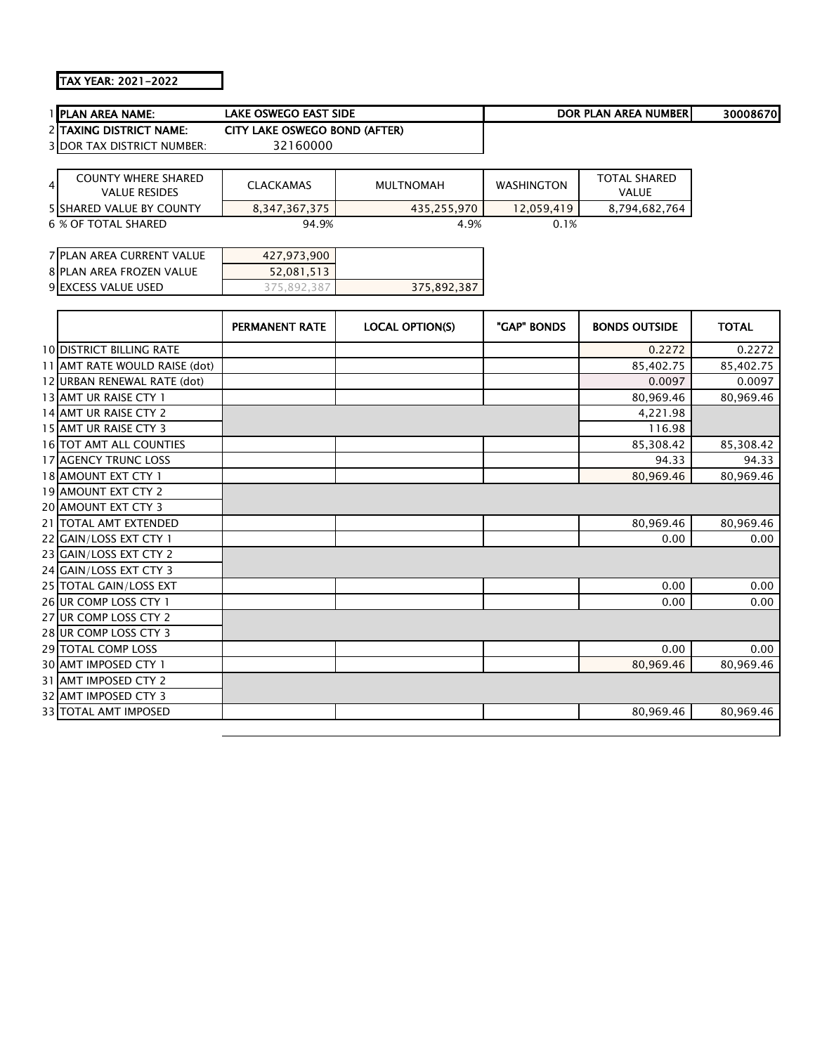## TAX YEAR: 2021-2022

| <b>IPLAN AREA NAME:</b>                                 | <b>LAKE OSWEGO EAST SIDE</b>  |                        |                   | <b>DOR PLAN AREA NUMBER</b>         | 30008670     |
|---------------------------------------------------------|-------------------------------|------------------------|-------------------|-------------------------------------|--------------|
| <b>2 TAXING DISTRICT NAME:</b>                          | CITY LAKE OSWEGO BOND (AFTER) |                        |                   |                                     |              |
| <b>3 DOR TAX DISTRICT NUMBER:</b>                       | 32160000                      |                        |                   |                                     |              |
|                                                         |                               |                        |                   |                                     |              |
| <b>COUNTY WHERE SHARED</b><br>4<br><b>VALUE RESIDES</b> | <b>CLACKAMAS</b>              | <b>MULTNOMAH</b>       | <b>WASHINGTON</b> | <b>TOTAL SHARED</b><br><b>VALUE</b> |              |
| <b>5 SHARED VALUE BY COUNTY</b>                         | 8,347,367,375                 | 435,255,970            | 12,059,419        | 8,794,682,764                       |              |
| 6 % OF TOTAL SHARED                                     | 94.9%                         | 4.9%                   | 0.1%              |                                     |              |
|                                                         |                               |                        |                   |                                     |              |
| <b>7 PLAN AREA CURRENT VALUE</b>                        | 427,973,900                   |                        |                   |                                     |              |
| <b>8 PLAN AREA FROZEN VALUE</b>                         | 52,081,513                    |                        |                   |                                     |              |
| 9 EXCESS VALUE USED                                     | 375,892,387                   | 375,892,387            |                   |                                     |              |
|                                                         |                               |                        |                   |                                     |              |
|                                                         | <b>PERMANENT RATE</b>         | <b>LOCAL OPTION(S)</b> | "GAP" BONDS       | <b>BONDS OUTSIDE</b>                | <b>TOTAL</b> |
| <b>10 DISTRICT BILLING RATE</b>                         |                               |                        |                   | 0.2272                              | 0.2272       |
| 11 AMT RATE WOULD RAISE (dot)                           |                               |                        |                   | 85,402.75                           | 85,402.75    |
| 12 URBAN RENEWAL RATE (dot)                             |                               |                        |                   | 0.0097                              | 0.0097       |
| 13 AMT UR RAISE CTY 1                                   |                               |                        |                   | 80,969.46                           | 80,969.46    |
| 14 AMT UR RAISE CTY 2                                   |                               |                        |                   | 4,221.98                            |              |
| 15 AMT UR RAISE CTY 3                                   |                               |                        |                   | 116.98                              |              |

| ITIANII UN NAIJL CII Z      |  | 7, <i>2 2</i> 1 . JU |           |
|-----------------------------|--|----------------------|-----------|
| 15 AMT UR RAISE CTY 3       |  | 116.98               |           |
| 16 TOT AMT ALL COUNTIES     |  | 85,308.42            | 85,308.42 |
| 17 AGENCY TRUNC LOSS        |  | 94.33                | 94.33     |
| 18 AMOUNT EXT CTY 1         |  | 80,969.46            | 80,969.46 |
| 19 AMOUNT EXT CTY 2         |  |                      |           |
| <b>20 AMOUNT EXT CTY 3</b>  |  |                      |           |
| 21   TOTAL AMT EXTENDED     |  | 80,969.46            | 80,969.46 |
| 22 GAIN/LOSS EXT CTY 1      |  | 0.00                 | 0.00      |
| 23 GAIN/LOSS EXT CTY 2      |  |                      |           |
| 24 GAIN/LOSS EXT CTY 3      |  |                      |           |
| 25 TOTAL GAIN/LOSS EXT      |  | 0.00                 | 0.00      |
| 26 UR COMP LOSS CTY 1       |  | 0.00                 | 0.00      |
| 27 UR COMP LOSS CTY 2       |  |                      |           |
| 28 UR COMP LOSS CTY 3       |  |                      |           |
| <b>29 TOTAL COMP LOSS</b>   |  | 0.00                 | 0.00      |
| 30 AMT IMPOSED CTY 1        |  | 80,969.46            | 80,969.46 |
| 31 AMT IMPOSED CTY 2        |  |                      |           |
| 32 AMT IMPOSED CTY 3        |  |                      |           |
| <b>33 TOTAL AMT IMPOSED</b> |  | 80,969.46            | 80,969.46 |
|                             |  |                      |           |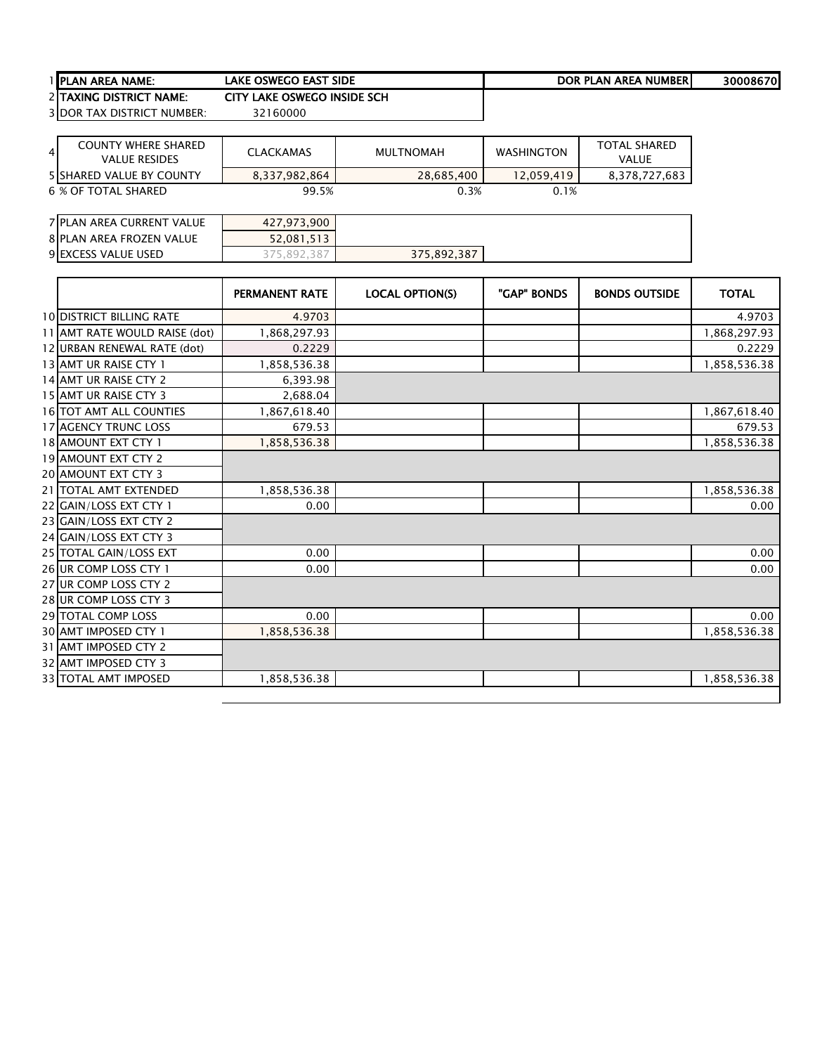| LAKE OSWEGO EAST SIDE<br>1 <b>IPLAN AREA NAME:</b> | DOR PLAN AREA NUMBERI | 30008670 |
|----------------------------------------------------|-----------------------|----------|
|----------------------------------------------------|-----------------------|----------|

2 TAXING DISTRICT NAME: CITY LAKE OSWEGO INSIDE SCH<br>3 DOR TAX DISTRICT NUMBER: 32160000 3 DOR TAX DISTRICT NUMBER:

| <b>COUNTY WHERE SHARED</b><br>4 I<br><b>VALUE RESIDES</b> | CLACKAMAS     | MULTNOMAH  | <b>WASHINGTON</b> | <b>TOTAL SHARED</b><br>VALUE |
|-----------------------------------------------------------|---------------|------------|-------------------|------------------------------|
| <b>5 SHARED VALUE BY COUNTY</b>                           | 8.337.982.864 | 28.685.400 | 12.059.419        | 8,378,727,683                |
| 6 % OF TOTAL SHARED                                       | 99.5%         | 0.3%       | 0.1%              |                              |

| 7 PLAN AREA CURRENT VALUE | 427,973,900   |             |  |
|---------------------------|---------------|-------------|--|
| 8 PLAN AREA FROZEN VALUE  | 52,081,513    |             |  |
| 9 EXCESS VALUE USED       | - 387<br>ے 89 | 375,892,387 |  |

|                                 | <b>PERMANENT RATE</b> | <b>LOCAL OPTION(S)</b> | "GAP" BONDS | <b>BONDS OUTSIDE</b> | <b>TOTAL</b> |
|---------------------------------|-----------------------|------------------------|-------------|----------------------|--------------|
| <b>10 DISTRICT BILLING RATE</b> | 4.9703                |                        |             |                      | 4.9703       |
| 11 AMT RATE WOULD RAISE (dot)   | 1,868,297.93          |                        |             |                      | 1,868,297.93 |
| 12 URBAN RENEWAL RATE (dot)     | 0.2229                |                        |             |                      | 0.2229       |
| 13 AMT UR RAISE CTY 1           | 1,858,536.38          |                        |             |                      | 1,858,536.38 |
| 14 AMT UR RAISE CTY 2           | 6,393.98              |                        |             |                      |              |
| 15 AMT UR RAISE CTY 3           | 2,688.04              |                        |             |                      |              |
| 16 TOT AMT ALL COUNTIES         | 1,867,618.40          |                        |             |                      | 1,867,618.40 |
| <b>17 AGENCY TRUNC LOSS</b>     | 679.53                |                        |             |                      | 679.53       |
| 18 AMOUNT EXT CTY 1             | 1,858,536.38          |                        |             |                      | 1,858,536.38 |
| 19 AMOUNT EXT CTY 2             |                       |                        |             |                      |              |
| 20 AMOUNT EXT CTY 3             |                       |                        |             |                      |              |
| 21 TOTAL AMT EXTENDED           | 1,858,536.38          |                        |             |                      | 1,858,536.38 |
| 22 GAIN/LOSS EXT CTY 1          | 0.00                  |                        |             |                      | 0.00         |
| 23 GAIN/LOSS EXT CTY 2          |                       |                        |             |                      |              |
| 24 GAIN/LOSS EXT CTY 3          |                       |                        |             |                      |              |
| 25 TOTAL GAIN/LOSS EXT          | 0.00                  |                        |             |                      | 0.00         |
| 26 UR COMP LOSS CTY 1           | 0.00                  |                        |             |                      | 0.00         |
| 27 UR COMP LOSS CTY 2           |                       |                        |             |                      |              |
| 28 UR COMP LOSS CTY 3           |                       |                        |             |                      |              |
| <b>29 TOTAL COMP LOSS</b>       | 0.00                  |                        |             |                      | 0.00         |
| 30 AMT IMPOSED CTY 1            | 1,858,536.38          |                        |             |                      | 1,858,536.38 |
| 31 AMT IMPOSED CTY 2            |                       |                        |             |                      |              |
| 32 AMT IMPOSED CTY 3            |                       |                        |             |                      |              |
| <b>33 TOTAL AMT IMPOSED</b>     | 1,858,536.38          |                        |             |                      | 1,858,536.38 |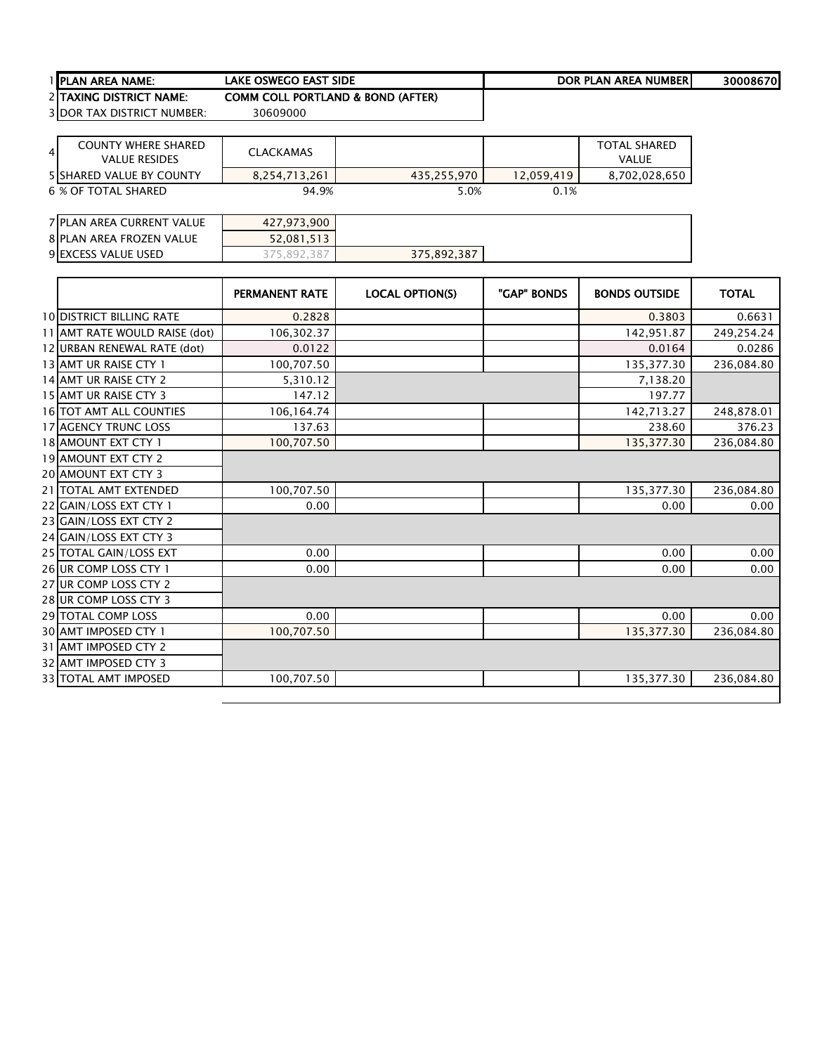| PLAN AREA NAME: |
|-----------------|
|-----------------|

PLAN AREA NAME: 30008670 LAKE OSWEGO EAST SIDE DOR PLAN AREA NUMBER

COMM COLL PORTLAND & BOND (AFTER)<br>30609000

2 TAXING DISTRICT NAME:<br>3 DOR TAX DISTRICT NUMBER:

| <b>COUNTY WHERE SHARED</b><br>$\overline{4}$<br><b>VALUE RESIDES</b> | <b>CLACKAMAS</b> |             |            | <b>TOTAL SHARED</b><br>VALUE |
|----------------------------------------------------------------------|------------------|-------------|------------|------------------------------|
| <b>5 ISHARED VALUE BY COUNTY</b>                                     | 8.254.713.261    | 435,255,970 | 12.059.419 | 8,702,028,650                |
| 6 % OF TOTAL SHARED                                                  | 94.9%            | 5.0%        | 0.1%       |                              |

| 7 PLAN AREA CURRENT VALUE | 427.973.900  |             |  |
|---------------------------|--------------|-------------|--|
| 8 PLAN AREA FROZEN VALUE  | 52,081,513   |             |  |
| 9 EXCESS VALUE USED       | 387<br>892.3 | 375,892,387 |  |

|                                 | <b>PERMANENT RATE</b> | <b>LOCAL OPTION(S)</b> | "GAP" BONDS | <b>BONDS OUTSIDE</b> | <b>TOTAL</b> |
|---------------------------------|-----------------------|------------------------|-------------|----------------------|--------------|
| <b>10 DISTRICT BILLING RATE</b> | 0.2828                |                        |             | 0.3803               | 0.6631       |
| 11 AMT RATE WOULD RAISE (dot)   | 106,302.37            |                        |             | 142,951.87           | 249,254.24   |
| 12 URBAN RENEWAL RATE (dot)     | 0.0122                |                        |             | 0.0164               | 0.0286       |
| 13 AMT UR RAISE CTY 1           | 100,707.50            |                        |             | 135,377.30           | 236,084.80   |
| 14 AMT UR RAISE CTY 2           | 5,310.12              |                        |             | 7,138.20             |              |
| 15 AMT UR RAISE CTY 3           | 147.12                |                        |             | 197.77               |              |
| 16 TOT AMT ALL COUNTIES         | 106,164.74            |                        |             | 142,713.27           | 248,878.01   |
| 17 AGENCY TRUNC LOSS            | 137.63                |                        |             | 238.60               | 376.23       |
| 18 AMOUNT EXT CTY 1             | 100,707.50            |                        |             | 135,377.30           | 236,084.80   |
| <b>19 AMOUNT EXT CTY 2</b>      |                       |                        |             |                      |              |
| <b>20 AMOUNT EXT CTY 3</b>      |                       |                        |             |                      |              |
| 21 TOTAL AMT EXTENDED           | 100,707.50            |                        |             | 135,377.30           | 236,084.80   |
| 22 GAIN/LOSS EXT CTY 1          | 0.00                  |                        |             | 0.00                 | 0.00         |
| 23 GAIN/LOSS EXT CTY 2          |                       |                        |             |                      |              |
| 24 GAIN/LOSS EXT CTY 3          |                       |                        |             |                      |              |
| 25 TOTAL GAIN/LOSS EXT          | 0.00                  |                        |             | 0.00                 | 0.00         |
| 26 UR COMP LOSS CTY 1           | 0.00                  |                        |             | 0.00                 | 0.00         |
| 27 UR COMP LOSS CTY 2           |                       |                        |             |                      |              |
| 28 UR COMP LOSS CTY 3           |                       |                        |             |                      |              |
| <b>29 TOTAL COMP LOSS</b>       | 0.00                  |                        |             | 0.00                 | 0.00         |
| 30 AMT IMPOSED CTY 1            | 100,707.50            |                        |             | 135,377.30           | 236,084.80   |
| 31 AMT IMPOSED CTY 2            |                       |                        |             |                      |              |
| 32 AMT IMPOSED CTY 3            |                       |                        |             |                      |              |
| <b>33 TOTAL AMT IMPOSED</b>     | 100,707.50            |                        |             | 135,377.30           | 236,084.80   |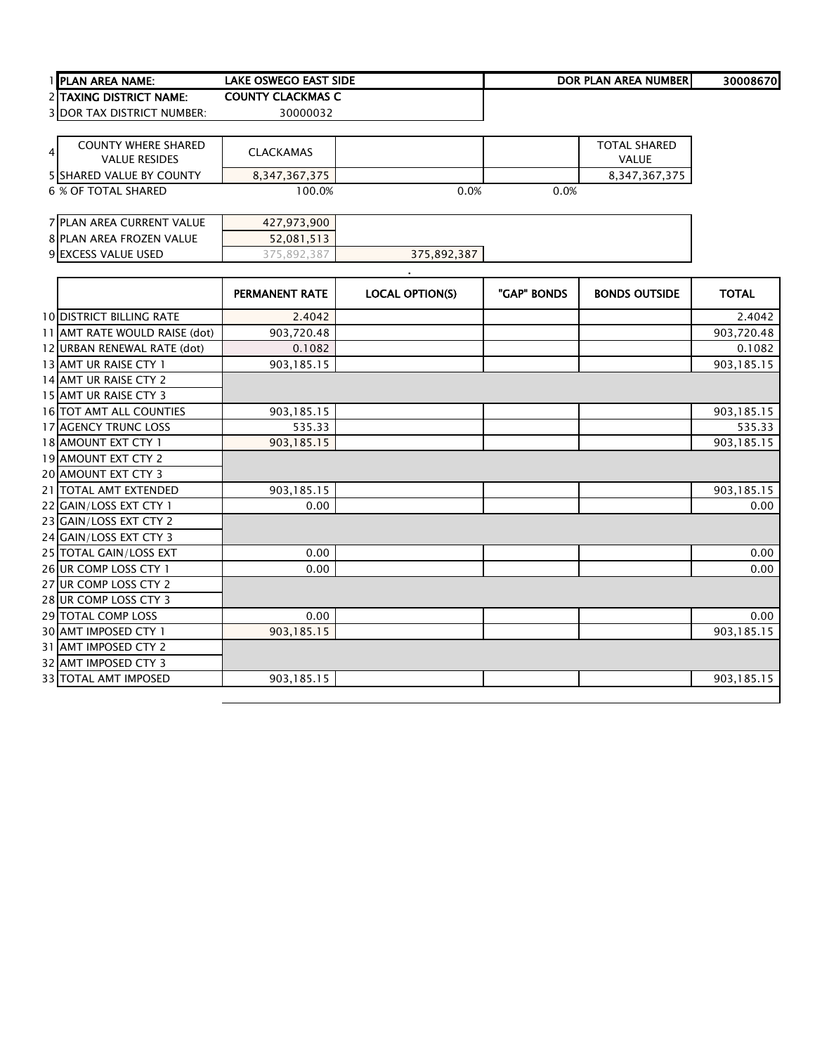|                | 1 PLAN AREA NAME:                                  | <b>LAKE OSWEGO EAST SIDE</b> |                        |             | DOR PLAN AREA NUMBER                | 30008670     |
|----------------|----------------------------------------------------|------------------------------|------------------------|-------------|-------------------------------------|--------------|
|                | 2 TAXING DISTRICT NAME:                            | <b>COUNTY CLACKMAS C</b>     |                        |             |                                     |              |
|                | 3 DOR TAX DISTRICT NUMBER:                         | 30000032                     |                        |             |                                     |              |
|                |                                                    |                              |                        |             |                                     |              |
| $\overline{4}$ | <b>COUNTY WHERE SHARED</b><br><b>VALUE RESIDES</b> | <b>CLACKAMAS</b>             |                        |             | <b>TOTAL SHARED</b><br><b>VALUE</b> |              |
|                | 5 SHARED VALUE BY COUNTY                           | 8,347,367,375                |                        |             | 8,347,367,375                       |              |
|                | <b>6 % OF TOTAL SHARED</b>                         | 100.0%                       | 0.0%                   | 0.0%        |                                     |              |
|                |                                                    |                              |                        |             |                                     |              |
|                | 7 PLAN AREA CURRENT VALUE                          | 427,973,900                  |                        |             |                                     |              |
|                | 8 PLAN AREA FROZEN VALUE                           | 52,081,513                   |                        |             |                                     |              |
|                | 9 EXCESS VALUE USED                                | 375,892,387                  | 375,892,387            |             |                                     |              |
|                |                                                    |                              |                        |             |                                     |              |
|                |                                                    | PERMANENT RATE               | <b>LOCAL OPTION(S)</b> | "GAP" BONDS | <b>BONDS OUTSIDE</b>                | <b>TOTAL</b> |
|                | <b>10 DISTRICT BILLING RATE</b>                    | 2.4042                       |                        |             |                                     | 2.4042       |
|                | 11 AMT RATE WOULD RAISE (dot)                      | 903,720.48                   |                        |             |                                     | 903,720.48   |
|                | 12 URBAN RENEWAL RATE (dot)                        | 0.1082                       |                        |             |                                     | 0.1082       |
|                | 13 AMT UR RAISE CTY 1                              | 903,185.15                   |                        |             |                                     | 903,185.15   |
|                | 14 AMT UR RAISE CTY 2                              |                              |                        |             |                                     |              |
|                | 15 AMT UR RAISE CTY 3                              |                              |                        |             |                                     |              |
|                | 16 TOT AMT ALL COUNTIES                            | 903,185.15                   |                        |             |                                     | 903,185.15   |
|                | 17 AGENCY TRUNC LOSS                               | 535.33                       |                        |             |                                     | 535.33       |
|                | 18 AMOUNT EXT CTY 1                                | 903,185.15                   |                        |             |                                     | 903,185.15   |
|                | 19 AMOUNT EXT CTY 2                                |                              |                        |             |                                     |              |
|                | 20 AMOUNT EXT CTY 3                                |                              |                        |             |                                     |              |
|                | 21 TOTAL AMT EXTENDED                              | 903,185.15                   |                        |             |                                     | 903,185.15   |
|                | 22 GAIN/LOSS EXT CTY 1                             | 0.00                         |                        |             |                                     | 0.00         |
|                | 23 GAIN/LOSS EXT CTY 2                             |                              |                        |             |                                     |              |
|                | 24 GAIN/LOSS EXT CTY 3                             |                              |                        |             |                                     |              |
|                | 25 TOTAL GAIN/LOSS EXT                             | 0.00                         |                        |             |                                     | 0.00         |
|                | 26 UR COMP LOSS CTY 1                              | 0.00                         |                        |             |                                     | 0.00         |
|                | 27 UR COMP LOSS CTY 2                              |                              |                        |             |                                     |              |
|                | 28 UR COMP LOSS CTY 3                              |                              |                        |             |                                     |              |
|                | 29 TOTAL COMP LOSS                                 | 0.00                         |                        |             |                                     | 0.00         |
|                | 30 AMT IMPOSED CTY 1                               | 903,185.15                   |                        |             |                                     | 903,185.15   |
|                | 31 AMT IMPOSED CTY 2                               |                              |                        |             |                                     |              |
|                | 32 AMT IMPOSED CTY 3                               |                              |                        |             |                                     |              |
|                | 33 TOTAL AMT IMPOSED                               | 903,185.15                   |                        |             |                                     | 903,185.15   |

 $\overline{a}$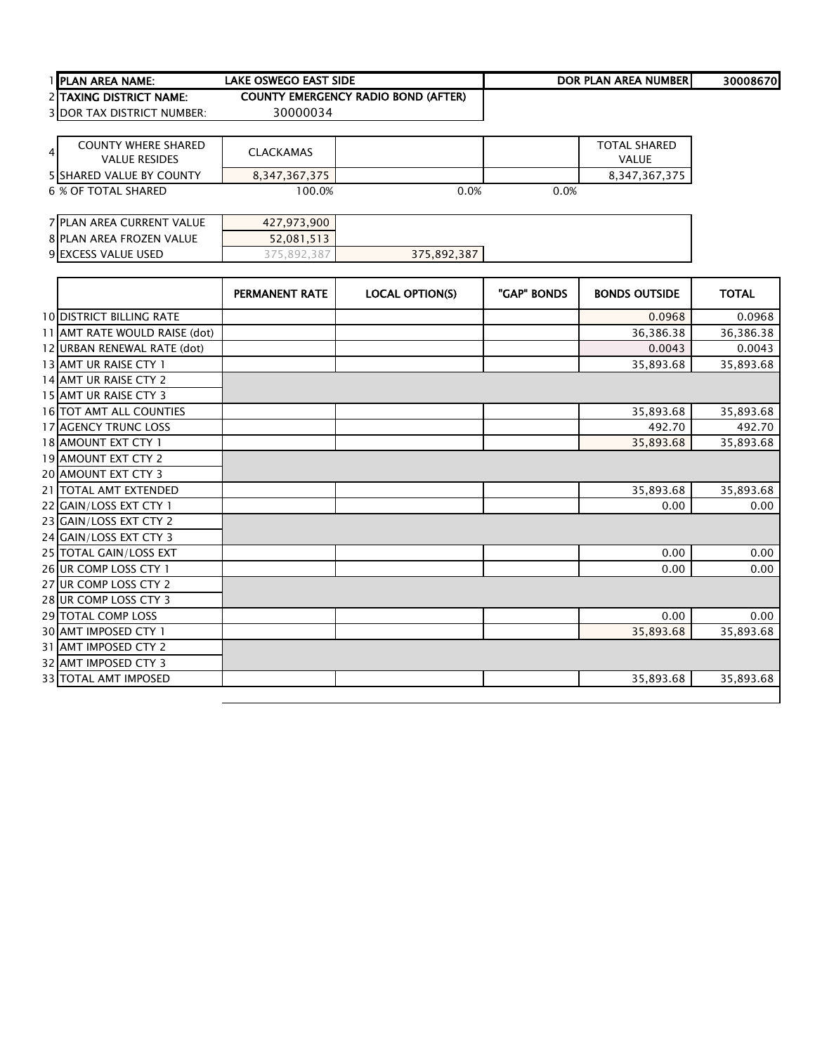|   | <b>IPLAN AREA NAME:</b>                            | <b>LAKE OSWEGO EAST SIDE</b> |                                            |             | DOR PLAN AREA NUMBER                | 30008670     |
|---|----------------------------------------------------|------------------------------|--------------------------------------------|-------------|-------------------------------------|--------------|
|   | <b>2 TAXING DISTRICT NAME:</b>                     |                              | <b>COUNTY EMERGENCY RADIO BOND (AFTER)</b> |             |                                     |              |
|   | <b>3 DOR TAX DISTRICT NUMBER:</b>                  | 30000034                     |                                            |             |                                     |              |
|   |                                                    |                              |                                            |             |                                     |              |
| 4 | <b>COUNTY WHERE SHARED</b><br><b>VALUE RESIDES</b> | <b>CLACKAMAS</b>             |                                            |             | <b>TOTAL SHARED</b><br><b>VALUE</b> |              |
|   | <b>5 SHARED VALUE BY COUNTY</b>                    | 8,347,367,375                |                                            |             | 8,347,367,375                       |              |
|   | <b>6 % OF TOTAL SHARED</b>                         | 100.0%                       | 0.0%                                       | 0.0%        |                                     |              |
|   |                                                    |                              |                                            |             |                                     |              |
|   | <b>7 PLAN AREA CURRENT VALUE</b>                   | 427,973,900                  |                                            |             |                                     |              |
|   | <b>8 PLAN AREA FROZEN VALUE</b>                    | 52,081,513                   |                                            |             |                                     |              |
|   | 9 EXCESS VALUE USED                                | 375,892,387                  | 375,892,387                                |             |                                     |              |
|   |                                                    |                              |                                            |             |                                     |              |
|   |                                                    | <b>PERMANENT RATE</b>        | <b>LOCAL OPTION(S)</b>                     | "GAP" BONDS | <b>BONDS OUTSIDE</b>                | <b>TOTAL</b> |
|   | <b>10 DISTRICT BILLING RATE</b>                    |                              |                                            |             | 0.0968                              | 0.0968       |
|   | 11 AMT RATE WOULD RAISE (dot)                      |                              |                                            |             | 36,386.38                           | 36,386.38    |
|   | 12 URBAN RENEWAL RATE (dot)                        |                              |                                            |             | 0.0043                              | 0.0043       |
|   | 13 AMT UR RAISE CTY 1                              |                              |                                            |             | 35,893.68                           | 35,893.68    |
|   | 14 AMT UR RAISE CTY 2                              |                              |                                            |             |                                     |              |
|   | 15 AMT UR RAISE CTY 3                              |                              |                                            |             |                                     |              |
|   | <b>16 TOT AMT ALL COUNTIES</b>                     |                              |                                            |             | 35,893.68                           | 35,893.68    |
|   | <b>17 AGENCY TRUNC LOSS</b>                        |                              |                                            |             | 492.70                              | 492.70       |
|   | 18 AMOUNT EXT CTY 1                                |                              |                                            |             | 35,893.68                           | 35,893.68    |
|   | 19 AMOUNT EXT CTY 2                                |                              |                                            |             |                                     |              |
|   | <b>20 AMOUNT EXT CTY 3</b>                         |                              |                                            |             |                                     |              |
|   | 21   TOTAL AMT EXTENDED                            |                              |                                            |             | 35,893.68                           | 35,893.68    |
|   | 22 GAIN/LOSS EXT CTY 1                             |                              |                                            |             | 0.00                                | 0.00         |
|   | 23 GAIN/LOSS EXT CTY 2                             |                              |                                            |             |                                     |              |
|   | 24 GAIN/LOSS EXT CTY 3                             |                              |                                            |             |                                     |              |

TOTAL GAIN/LOSS EXT 0.00 0.00

TOTAL COMP LOSS 0.00 0.00

33 TOTAL AMT IMPOSED **12.2** (35,893.68 135,893.68 135,893.68 135,893.68 135,893.68 135,893.68 135,893.68 135,893.68

26 UR COMP LOSS CTY 1 UR COMP LOSS CTY 2 UR COMP LOSS CTY 3

30 AMT IMPOSED CTY 1 AMT IMPOSED CTY 2 AMT IMPOSED CTY 3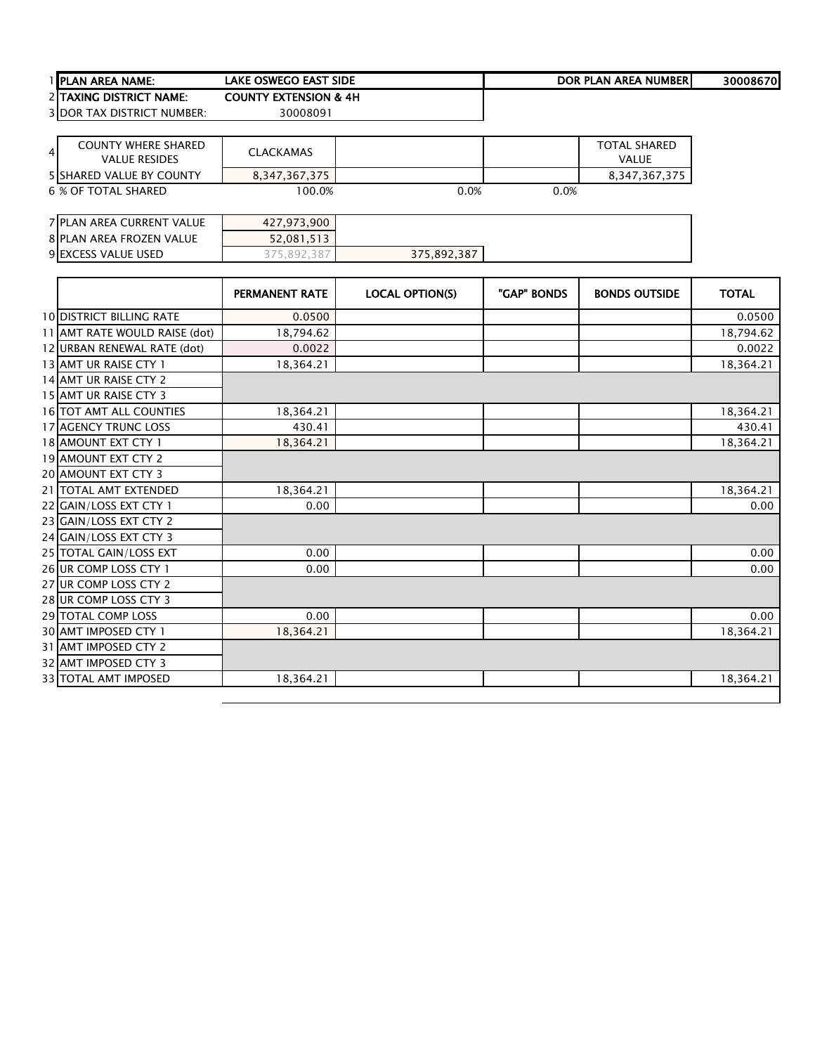| 1 PLAN AREA NAME:                                                    | <b>LAKE OSWEGO EAST SIDE</b>     |                        |             | <b>DOR PLAN AREA NUMBER</b>  | 30008670     |
|----------------------------------------------------------------------|----------------------------------|------------------------|-------------|------------------------------|--------------|
| 2 TAXING DISTRICT NAME:                                              | <b>COUNTY EXTENSION &amp; 4H</b> |                        |             |                              |              |
| <b>3 DOR TAX DISTRICT NUMBER:</b>                                    | 30008091                         |                        |             |                              |              |
|                                                                      |                                  |                        |             |                              |              |
| <b>COUNTY WHERE SHARED</b><br>$\overline{4}$<br><b>VALUE RESIDES</b> | <b>CLACKAMAS</b>                 |                        |             | <b>TOTAL SHARED</b><br>VALUE |              |
| <b>5 SHARED VALUE BY COUNTY</b>                                      | 8,347,367,375                    |                        |             | 8,347,367,375                |              |
| <b>6 % OF TOTAL SHARED</b>                                           | 100.0%                           | 0.0%                   | 0.0%        |                              |              |
| 7 PLAN AREA CURRENT VALUE                                            | 427,973,900                      |                        |             |                              |              |
| <b>8 PLAN AREA FROZEN VALUE</b>                                      | 52,081,513                       |                        |             |                              |              |
| 9 EXCESS VALUE USED                                                  | 375,892,387                      | 375,892,387            |             |                              |              |
|                                                                      |                                  |                        |             |                              |              |
|                                                                      | <b>PERMANENT RATE</b>            | <b>LOCAL OPTION(S)</b> | "GAP" BONDS | <b>BONDS OUTSIDE</b>         | <b>TOTAL</b> |
| <b>10 DISTRICT BILLING RATE</b>                                      | 0.0500                           |                        |             |                              | 0.0500       |
| 11 AMT RATE WOULD RAISE (dot)                                        | 18,794.62                        |                        |             |                              | 18,794.62    |
| 12 URBAN RENEWAL RATE (dot)                                          | 0.0022                           |                        |             |                              | 0.0022       |
| 13 AMT UR RAISE CTY 1                                                | 18,364.21                        |                        |             |                              | 18,364.21    |
| 14 AMT UR RAISE CTY 2                                                |                                  |                        |             |                              |              |
| 15 AMT UR RAISE CTY 3                                                |                                  |                        |             |                              |              |
| 16 TOT AMT ALL COUNTIES                                              | 18,364.21                        |                        |             |                              | 18,364.21    |
| 17 AGENCY TRUNC LOSS                                                 | 430.41                           |                        |             |                              | 430.41       |
| 18 AMOUNT EXT CTY 1                                                  | 18,364.21                        |                        |             |                              | 18,364.21    |
| 19 AMOUNT EXT CTY 2                                                  |                                  |                        |             |                              |              |
| 20 AMOUNT EXT CTY 3                                                  |                                  |                        |             |                              |              |
| 21   TOTAL AMT EXTENDED                                              | 18,364.21                        |                        |             |                              | 18,364.21    |
| 22 GAIN/LOSS EXT CTY 1                                               | 0.00                             |                        |             |                              | 0.00         |
| 23 GAIN/LOSS EXT CTY 2                                               |                                  |                        |             |                              |              |
| 24 GAIN/LOSS EXT CTY 3                                               |                                  |                        |             |                              |              |
| 25 TOTAL GAIN/LOSS EXT                                               | 0.00                             |                        |             |                              | 0.00         |
| 26 UR COMP LOSS CTY 1                                                | 0.00                             |                        |             |                              | 0.00         |
| 27 UR COMP LOSS CTY 2                                                |                                  |                        |             |                              |              |
| 28 UR COMP LOSS CTY 3                                                |                                  |                        |             |                              |              |
| 29 TOTAL COMP LOSS                                                   | 0.00                             |                        |             |                              | 0.00         |
| 30 AMT IMPOSED CTY 1                                                 | 18,364.21                        |                        |             |                              | 18,364.21    |
| 31 AMT IMPOSED CTY 2                                                 |                                  |                        |             |                              |              |
| 32 AMT IMPOSED CTY 3                                                 |                                  |                        |             |                              |              |

33|TOTAL AMT IMPOSED | 18,364.21 | | 18,364.21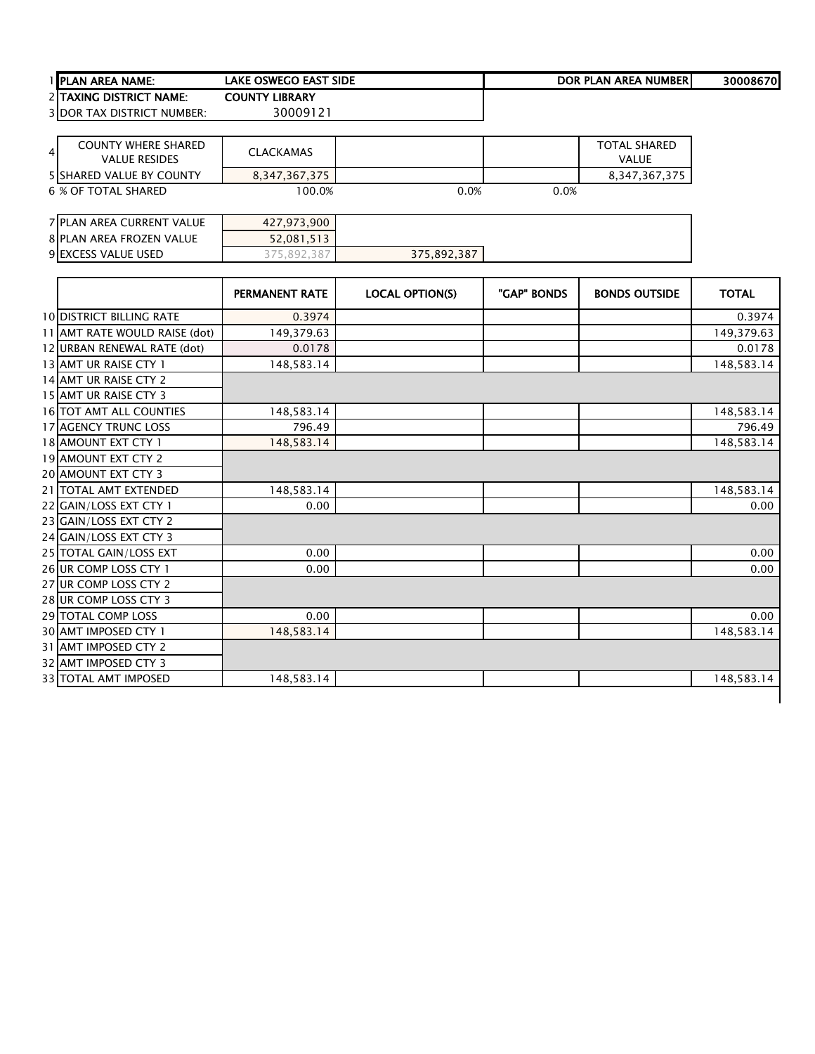|   | PLAN AREA NAME:                                    | <b>LAKE OSWEGO EAST SIDE</b> |                        |             | <b>DOR PLAN AREA NUMBER</b>         | 30008670     |
|---|----------------------------------------------------|------------------------------|------------------------|-------------|-------------------------------------|--------------|
|   | 2 TAXING DISTRICT NAME:                            | <b>COUNTY LIBRARY</b>        |                        |             |                                     |              |
|   | <b>3 DOR TAX DISTRICT NUMBER:</b>                  | 30009121                     |                        |             |                                     |              |
| 4 | <b>COUNTY WHERE SHARED</b><br><b>VALUE RESIDES</b> | <b>CLACKAMAS</b>             |                        |             | <b>TOTAL SHARED</b><br><b>VALUE</b> |              |
|   | <b>5 SHARED VALUE BY COUNTY</b>                    | 8,347,367,375                |                        |             | 8,347,367,375                       |              |
|   | <b>6 % OF TOTAL SHARED</b>                         | 100.0%                       | 0.0%                   | 0.0%        |                                     |              |
|   | 7 PLAN AREA CURRENT VALUE                          | 427,973,900                  |                        |             |                                     |              |
|   | <b>8 PLAN AREA FROZEN VALUE</b>                    | 52,081,513                   |                        |             |                                     |              |
|   | 9 EXCESS VALUE USED                                | 375,892,387                  | 375,892,387            |             |                                     |              |
|   |                                                    |                              |                        |             |                                     |              |
|   |                                                    | <b>PERMANENT RATE</b>        | <b>LOCAL OPTION(S)</b> | "GAP" BONDS | <b>BONDS OUTSIDE</b>                | <b>TOTAL</b> |
|   | <b>10 DISTRICT BILLING RATE</b>                    | 0.3974                       |                        |             |                                     | 0.3974       |
|   | 11 AMT RATE WOULD RAISE (dot)                      | 149,379.63                   |                        |             |                                     | 149,379.63   |
|   | 12 URBAN RENEWAL RATE (dot)                        | 0.0178                       |                        |             |                                     | 0.0178       |
|   | 13 AMT UR RAISE CTY 1                              | 148,583.14                   |                        |             |                                     | 148,583.14   |
|   | 14 AMT UR RAISE CTY 2                              |                              |                        |             |                                     |              |
|   | <b>15 AMT UR RAISE CTY 3</b>                       |                              |                        |             |                                     |              |
|   | <b>16 TOT AMT ALL COUNTIES</b>                     | 148,583.14                   |                        |             |                                     | 148,583.14   |
|   | <b>17 AGENCY TRUNC LOSS</b>                        | 796.49                       |                        |             |                                     | 796.49       |
|   | 18 AMOUNT EXT CTY 1                                | 148,583.14                   |                        |             |                                     | 148,583.14   |
|   | <b>19 AMOUNT EXT CTY 2</b>                         |                              |                        |             |                                     |              |
|   | <b>20 AMOUNT EXT CTY 3</b>                         |                              |                        |             |                                     |              |
|   | 21 TOTAL AMT EXTENDED                              | 148,583.14                   |                        |             |                                     | 148,583.14   |
|   | 22 GAIN/LOSS EXT CTY 1                             | 0.00                         |                        |             |                                     | 0.00         |
|   | 23 GAIN/LOSS EXT CTY 2                             |                              |                        |             |                                     |              |
|   | 24 GAIN/LOSS EXT CTY 3                             |                              |                        |             |                                     |              |
|   | 25 TOTAL GAIN/LOSS EXT                             | 0.00                         |                        |             |                                     | 0.00         |
|   | 26 UR COMP LOSS CTY 1                              | 0.00                         |                        |             |                                     | 0.00         |

TOTAL COMP LOSS 0.00 0.00

33 TOTAL AMT IMPOSED 148,583.14 148,583.14

26 UR COMP LOSS CTY 1 UR COMP LOSS CTY 2 UR COMP LOSS CTY 3

30 AMT IMPOSED CTY 1 AMT IMPOSED CTY 2 AMT IMPOSED CTY 3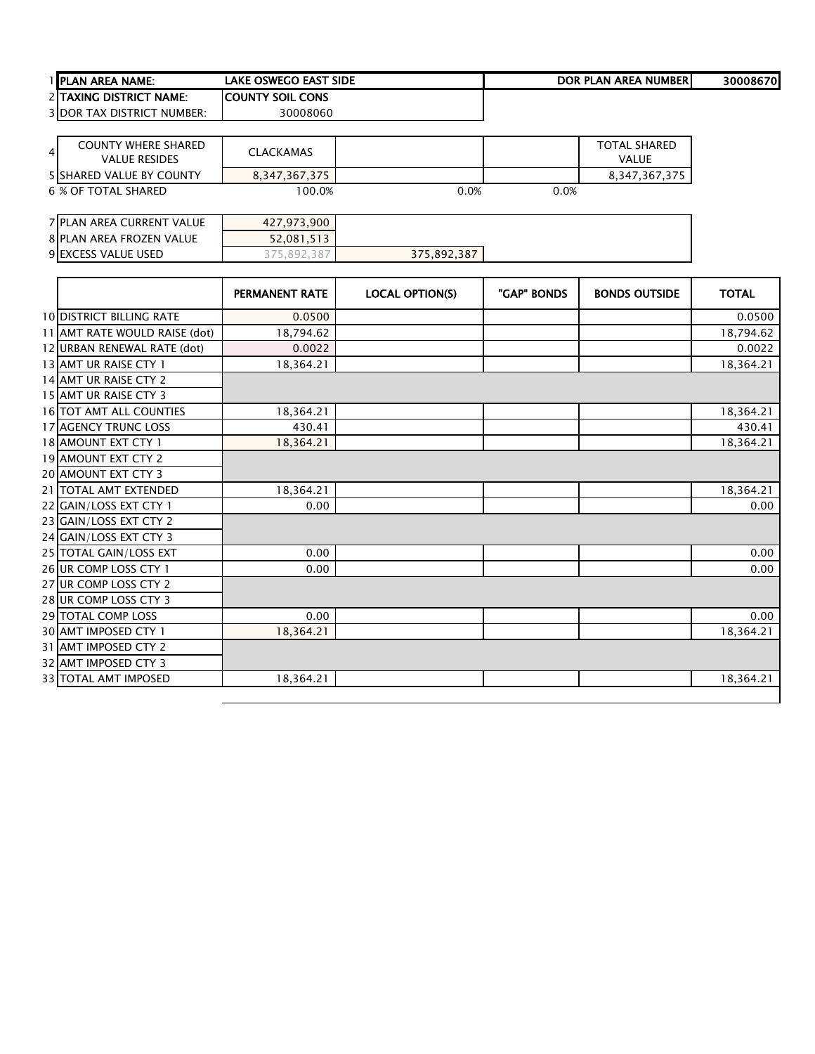| 1 PLAN AREA NAME:                                                    | <b>LAKE OSWEGO EAST SIDE</b> |                        |             | <b>DOR PLAN AREA NUMBER</b>         | 30008670     |
|----------------------------------------------------------------------|------------------------------|------------------------|-------------|-------------------------------------|--------------|
| 2 TAXING DISTRICT NAME:                                              | <b>COUNTY SOIL CONS</b>      |                        |             |                                     |              |
| <b>3 DOR TAX DISTRICT NUMBER:</b>                                    | 30008060                     |                        |             |                                     |              |
|                                                                      |                              |                        |             |                                     |              |
| <b>COUNTY WHERE SHARED</b><br>$\overline{4}$<br><b>VALUE RESIDES</b> | <b>CLACKAMAS</b>             |                        |             | <b>TOTAL SHARED</b><br><b>VALUE</b> |              |
| <b>5 SHARED VALUE BY COUNTY</b>                                      | 8,347,367,375                |                        |             | 8,347,367,375                       |              |
| <b>6 % OF TOTAL SHARED</b>                                           | 100.0%                       | 0.0%                   | 0.0%        |                                     |              |
|                                                                      |                              |                        |             |                                     |              |
| 7 PLAN AREA CURRENT VALUE                                            | 427,973,900                  |                        |             |                                     |              |
| 8 PLAN AREA FROZEN VALUE                                             | 52,081,513                   |                        |             |                                     |              |
| 9 EXCESS VALUE USED                                                  | 375,892,387                  | 375,892,387            |             |                                     |              |
|                                                                      |                              |                        |             |                                     |              |
|                                                                      | PERMANENT RATE               | <b>LOCAL OPTION(S)</b> | "GAP" BONDS | <b>BONDS OUTSIDE</b>                | <b>TOTAL</b> |
| <b>10 DISTRICT BILLING RATE</b>                                      | 0.0500                       |                        |             |                                     | 0.0500       |
| 11 AMT RATE WOULD RAISE (dot)                                        | 18,794.62                    |                        |             |                                     | 18,794.62    |
| 12 URBAN RENEWAL RATE (dot)                                          | 0.0022                       |                        |             |                                     | 0.0022       |
| 13 AMT UR RAISE CTY 1                                                | 18,364.21                    |                        |             |                                     | 18,364.21    |
| 14 AMT UR RAISE CTY 2                                                |                              |                        |             |                                     |              |
| 15 AMT UR RAISE CTY 3                                                |                              |                        |             |                                     |              |
| 16 TOT AMT ALL COUNTIES                                              | 18,364.21                    |                        |             |                                     | 18,364.21    |
| 17 AGENCY TRUNC LOSS                                                 | 430.41                       |                        |             |                                     | 430.41       |
| 18 AMOUNT EXT CTY 1                                                  | 18,364.21                    |                        |             |                                     | 18,364.21    |
| 19 AMOUNT EXT CTY 2                                                  |                              |                        |             |                                     |              |
| 20 AMOUNT EXT CTY 3                                                  |                              |                        |             |                                     |              |
| 21 TOTAL AMT EXTENDED                                                | 18,364.21                    |                        |             |                                     | 18,364.21    |
| 22 GAIN/LOSS EXT CTY 1                                               | 0.00                         |                        |             |                                     | 0.00         |
| 23 GAIN/LOSS EXT CTY 2                                               |                              |                        |             |                                     |              |
| 24 GAIN/LOSS EXT CTY 3                                               |                              |                        |             |                                     |              |
| 25 TOTAL GAIN/LOSS EXT                                               | 0.00                         |                        |             |                                     | 0.00         |
| 26 UR COMP LOSS CTY 1                                                | 0.00                         |                        |             |                                     | 0.00         |
| 27 UR COMP LOSS CTY 2                                                |                              |                        |             |                                     |              |
| 28 UR COMP LOSS CTY 3                                                |                              |                        |             |                                     |              |
| 29 TOTAL COMP LOSS                                                   | 0.00                         |                        |             |                                     | 0.00         |
| 30 AMT IMPOSED CTY 1                                                 | 18,364.21                    |                        |             |                                     | 18,364.21    |
| 31 AMT IMPOSED CTY 2                                                 |                              |                        |             |                                     |              |
| 32 AMT IMPOSED CTY 3                                                 |                              |                        |             |                                     |              |
| 33 TOTAL AMT IMPOSED                                                 | 18,364.21                    |                        |             |                                     | 18,364.21    |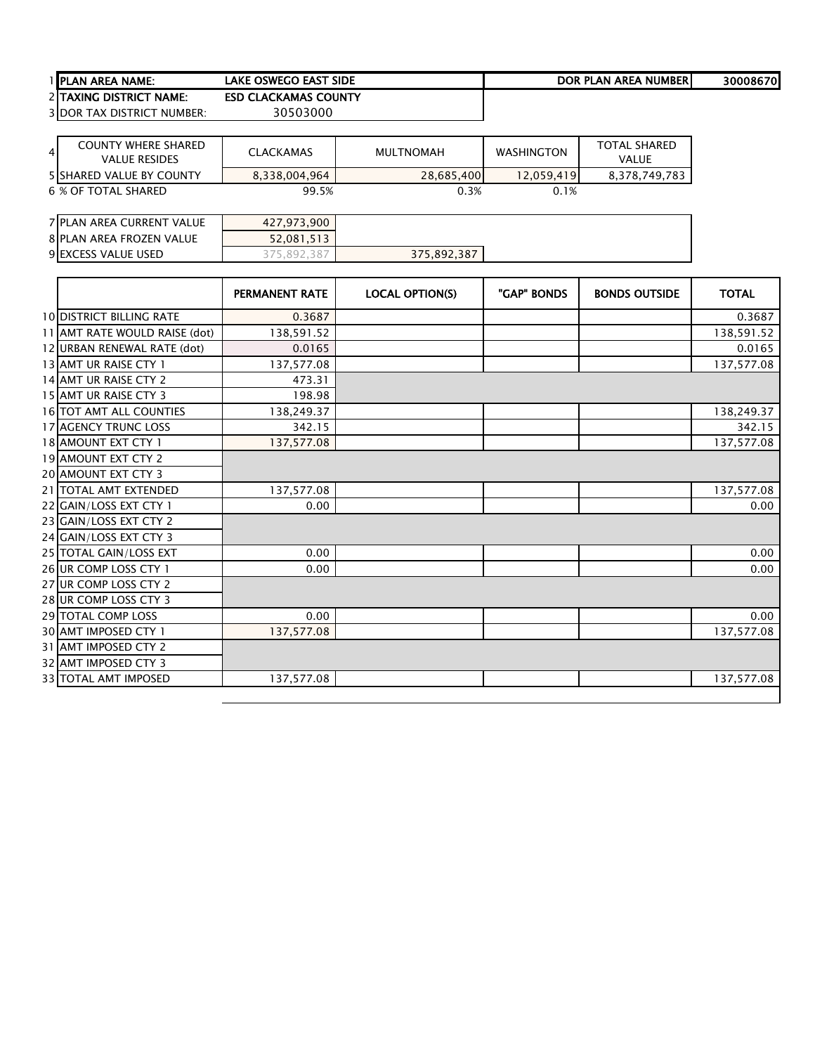| 1 IPLAN AREA NAME:                | LAKE OSWEGO EAST SIDE       | DOR PLAN AREA NUMBERI | 300086701 |
|-----------------------------------|-----------------------------|-----------------------|-----------|
| <b>2 ITAXING DISTRICT NAME:</b>   | <b>ESD CLACKAMAS COUNTY</b> |                       |           |
| <b>3IDOR TAX DISTRICT NUMBER:</b> | 30503000                    |                       |           |

 $\overline{\phantom{a}}$ 

| <b>COUNTY WHERE SHARED</b><br>$\overline{4}$<br><b>VALUE RESIDES</b> | <b>CLACKAMAS</b> | MULTNOMAH  | <b>WASHINGTON</b> | <b>TOTAL SHARED</b><br>VALUE |
|----------------------------------------------------------------------|------------------|------------|-------------------|------------------------------|
| <b>5 ISHARED VALUE BY COUNTY</b>                                     | 8,338,004,964    | 28.685.400 | 12.059.419        | 8,378,749,783                |
| 6 % OF TOTAL SHARED                                                  | 99.5%            | 0.3%       | 0.1%              |                              |

| 7 PLAN AREA CURRENT VALUE | 427,973,900 |             |  |
|---------------------------|-------------|-------------|--|
| 8 PLAN AREA FROZEN VALUE  | 52,081,513  |             |  |
| 9 EXCESS VALUE USED       | .381<br>89z | 375,892,387 |  |

|                                 | <b>PERMANENT RATE</b> | <b>LOCAL OPTION(S)</b> | "GAP" BONDS | <b>BONDS OUTSIDE</b> | <b>TOTAL</b> |
|---------------------------------|-----------------------|------------------------|-------------|----------------------|--------------|
| <b>10 DISTRICT BILLING RATE</b> | 0.3687                |                        |             |                      | 0.3687       |
| 11 AMT RATE WOULD RAISE (dot)   | 138,591.52            |                        |             |                      | 138,591.52   |
| 12 URBAN RENEWAL RATE (dot)     | 0.0165                |                        |             |                      | 0.0165       |
| 13 AMT UR RAISE CTY 1           | 137,577.08            |                        |             |                      | 137,577.08   |
| 14 AMT UR RAISE CTY 2           | 473.31                |                        |             |                      |              |
| 15 AMT UR RAISE CTY 3           | 198.98                |                        |             |                      |              |
| 16 TOT AMT ALL COUNTIES         | 138,249.37            |                        |             |                      | 138,249.37   |
| 17 AGENCY TRUNC LOSS            | 342.15                |                        |             |                      | 342.15       |
| 18 AMOUNT EXT CTY 1             | 137,577.08            |                        |             |                      | 137,577.08   |
| <b>19 AMOUNT EXT CTY 2</b>      |                       |                        |             |                      |              |
| <b>20 AMOUNT EXT CTY 3</b>      |                       |                        |             |                      |              |
| 21 TOTAL AMT EXTENDED           | 137,577.08            |                        |             |                      | 137,577.08   |
| 22 GAIN/LOSS EXT CTY 1          | 0.00                  |                        |             |                      | 0.00         |
| 23 GAIN/LOSS EXT CTY 2          |                       |                        |             |                      |              |
| 24 GAIN/LOSS EXT CTY 3          |                       |                        |             |                      |              |
| 25 TOTAL GAIN/LOSS EXT          | 0.00                  |                        |             |                      | 0.00         |
| 26 UR COMP LOSS CTY 1           | 0.00                  |                        |             |                      | 0.00         |
| 27 UR COMP LOSS CTY 2           |                       |                        |             |                      |              |
| 28 UR COMP LOSS CTY 3           |                       |                        |             |                      |              |
| 29 TOTAL COMP LOSS              | 0.00                  |                        |             |                      | 0.00         |
| 30 AMT IMPOSED CTY 1            | 137,577.08            |                        |             |                      | 137,577.08   |
| 31 AMT IMPOSED CTY 2            |                       |                        |             |                      |              |
| 32 AMT IMPOSED CTY 3            |                       |                        |             |                      |              |
| 33 TOTAL AMT IMPOSED            | 137,577.08            |                        |             |                      | 137,577.08   |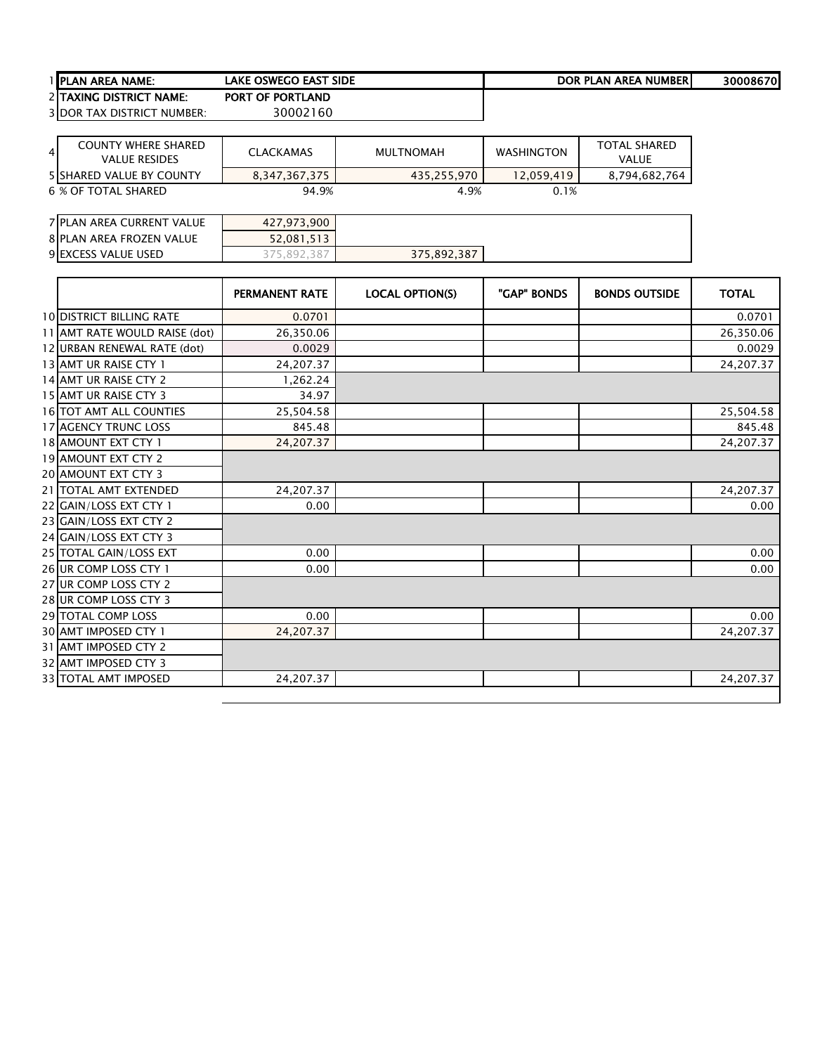| 1 IPLAN AREA NAME:                | LAKE OSWEGO EAST SIDE   | DOR PLAN AREA NUMBERI | 30008670 |
|-----------------------------------|-------------------------|-----------------------|----------|
| <b>2 ITAXING DISTRICT NAME:</b>   | <b>PORT OF PORTLAND</b> |                       |          |
| <b>3IDOR TAX DISTRICT NUMBER:</b> | 30002160                |                       |          |

| COUNTY WHERE SHARED<br>41<br><b>VALUE RESIDES</b> | <b>CLACKAMAS</b> | MULTNOMAH   | <b>WASHINGTON</b> | <b>TOTAL SHARED</b><br>VALUE |
|---------------------------------------------------|------------------|-------------|-------------------|------------------------------|
| <b>5 ISHARED VALUE BY COUNTY</b>                  | 8.347.367.375    | 435,255,970 | 12.059.419        | 8,794,682,764                |
| 6 % OF TOTAL SHARED                               | 94.9%            | 4.9%        | 0.1%              |                              |

| 7 PLAN AREA CURRENT VALUE | 427,973,900 |             |  |
|---------------------------|-------------|-------------|--|
| 8 PLAN AREA FROZEN VALUE  | 52,081,513  |             |  |
| 9 EXCESS VALUE USED       | 75,892,387ء | 375,892,387 |  |

|                                 | <b>PERMANENT RATE</b> | <b>LOCAL OPTION(S)</b> | "GAP" BONDS | <b>BONDS OUTSIDE</b> | <b>TOTAL</b> |
|---------------------------------|-----------------------|------------------------|-------------|----------------------|--------------|
| <b>10 DISTRICT BILLING RATE</b> | 0.0701                |                        |             |                      | 0.0701       |
| 11 AMT RATE WOULD RAISE (dot)   | 26,350.06             |                        |             |                      | 26,350.06    |
| 12 URBAN RENEWAL RATE (dot)     | 0.0029                |                        |             |                      | 0.0029       |
| 13 AMT UR RAISE CTY 1           | 24,207.37             |                        |             |                      | 24,207.37    |
| 14 AMT UR RAISE CTY 2           | 1,262.24              |                        |             |                      |              |
| 15 AMT UR RAISE CTY 3           | 34.97                 |                        |             |                      |              |
| <b>16 TOT AMT ALL COUNTIES</b>  | 25,504.58             |                        |             |                      | 25,504.58    |
| 17 AGENCY TRUNC LOSS            | 845.48                |                        |             |                      | 845.48       |
| 18 AMOUNT EXT CTY 1             | 24,207.37             |                        |             |                      | 24,207.37    |
| 19 AMOUNT EXT CTY 2             |                       |                        |             |                      |              |
| 20 AMOUNT EXT CTY 3             |                       |                        |             |                      |              |
| 21 TOTAL AMT EXTENDED           | 24,207.37             |                        |             |                      | 24,207.37    |
| 22 GAIN/LOSS EXT CTY 1          | 0.00                  |                        |             |                      | 0.00         |
| 23 GAIN/LOSS EXT CTY 2          |                       |                        |             |                      |              |
| 24 GAIN/LOSS EXT CTY 3          |                       |                        |             |                      |              |
| 25 TOTAL GAIN/LOSS EXT          | 0.00                  |                        |             |                      | 0.00         |
| 26 UR COMP LOSS CTY 1           | 0.00                  |                        |             |                      | 0.00         |
| 27 UR COMP LOSS CTY 2           |                       |                        |             |                      |              |
| 28 UR COMP LOSS CTY 3           |                       |                        |             |                      |              |
| 29 TOTAL COMP LOSS              | 0.00                  |                        |             |                      | 0.00         |
| 30 AMT IMPOSED CTY 1            | 24,207.37             |                        |             |                      | 24,207.37    |
| 31 AMT IMPOSED CTY 2            |                       |                        |             |                      |              |
| 32 AMT IMPOSED CTY 3            |                       |                        |             |                      |              |
| 33 TOTAL AMT IMPOSED            | 24,207.37             |                        |             |                      | 24,207.37    |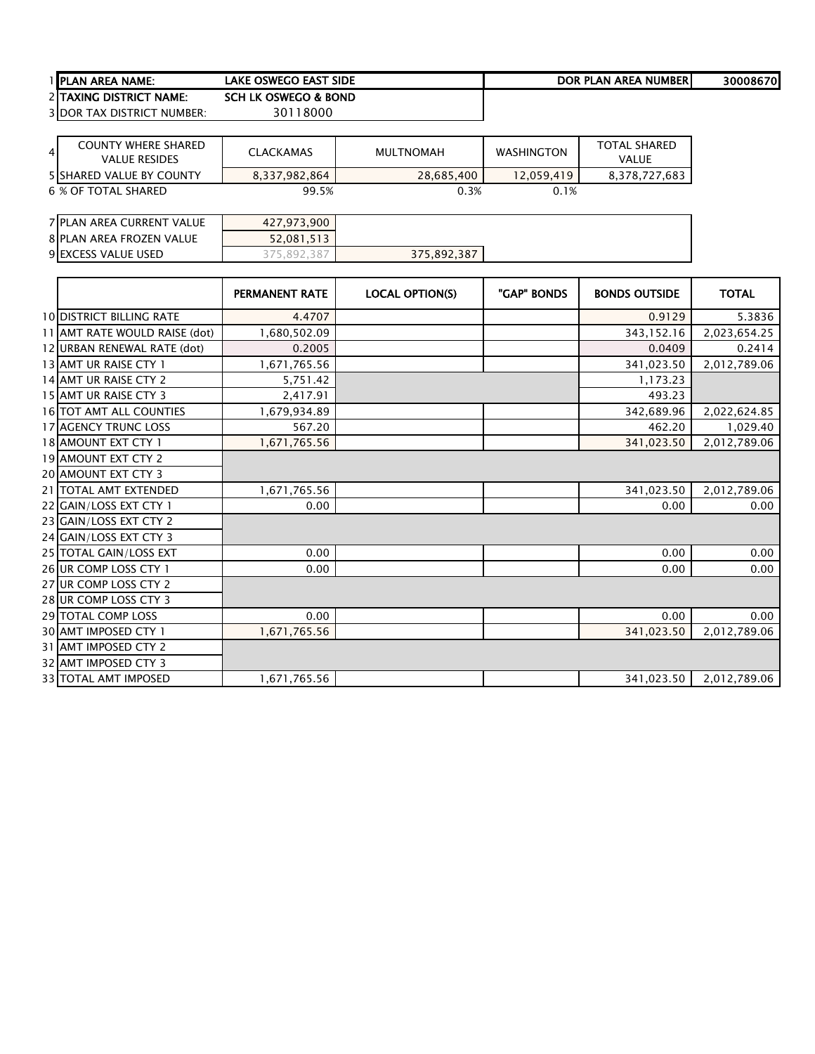| 1 IPLAN AREA NAME:                | LAKE OSWEGO EAST SIDE | DOR PLAN AREA NUMBERI | 30008670 |
|-----------------------------------|-----------------------|-----------------------|----------|
| 2 TAXING DISTRICT NAME:           | SCH LK OSWEGO & BOND  |                       |          |
| <b>3IDOR TAX DISTRICT NUMBER:</b> | 30118000              |                       |          |

| COUNTY WHERE SHARED<br>$\overline{4}$<br><b>VALUE RESIDES</b> | <b>CLACKAMAS</b> | MULTNOMAH  | <b>WASHINGTON</b> | <b>TOTAL SHARED</b><br>VALUE |
|---------------------------------------------------------------|------------------|------------|-------------------|------------------------------|
| <b>5 ISHARED VALUE BY COUNTY</b>                              | 8,337,982,864    | 28.685.400 | 12.059.419        | 8.378.727.683                |
| 6 % OF TOTAL SHARED                                           | 99.5%            | 0.3%       | 0.1%              |                              |

| 7 PLAN AREA CURRENT VALUE | 427,973,900 |             |  |
|---------------------------|-------------|-------------|--|
| 8 PLAN AREA FROZEN VALUE  | 52,081,513  |             |  |
| 9 EXCESS VALUE USED       | 387<br>.892 | 375,892,387 |  |

|                                 | <b>PERMANENT RATE</b> | <b>LOCAL OPTION(S)</b> | "GAP" BONDS | <b>BONDS OUTSIDE</b> | <b>TOTAL</b> |
|---------------------------------|-----------------------|------------------------|-------------|----------------------|--------------|
| <b>10 DISTRICT BILLING RATE</b> | 4.4707                |                        |             | 0.9129               | 5.3836       |
| 11 AMT RATE WOULD RAISE (dot)   | 1,680,502.09          |                        |             | 343,152.16           | 2,023,654.25 |
| 12 URBAN RENEWAL RATE (dot)     | 0.2005                |                        |             | 0.0409               | 0.2414       |
| 13 AMT UR RAISE CTY 1           | 1,671,765.56          |                        |             | 341,023.50           | 2,012,789.06 |
| 14 AMT UR RAISE CTY 2           | 5,751.42              |                        |             | 1,173.23             |              |
| 15 AMT UR RAISE CTY 3           | 2,417.91              |                        |             | 493.23               |              |
| <b>16 TOT AMT ALL COUNTIES</b>  | 1,679,934.89          |                        |             | 342,689.96           | 2,022,624.85 |
| <b>17 AGENCY TRUNC LOSS</b>     | 567.20                |                        |             | 462.20               | 1,029.40     |
| 18 AMOUNT EXT CTY 1             | 1,671,765.56          |                        |             | 341,023.50           | 2,012,789.06 |
| 19 AMOUNT EXT CTY 2             |                       |                        |             |                      |              |
| 20 AMOUNT EXT CTY 3             |                       |                        |             |                      |              |
| 21 TOTAL AMT EXTENDED           | 1,671,765.56          |                        |             | 341,023.50           | 2,012,789.06 |
| 22 GAIN/LOSS EXT CTY 1          | 0.00                  |                        |             | 0.00                 | 0.00         |
| 23 GAIN/LOSS EXT CTY 2          |                       |                        |             |                      |              |
| 24 GAIN/LOSS EXT CTY 3          |                       |                        |             |                      |              |
| 25 TOTAL GAIN/LOSS EXT          | 0.00                  |                        |             | 0.00                 | 0.00         |
| 26 UR COMP LOSS CTY 1           | 0.00                  |                        |             | 0.00                 | 0.00         |
| 27 UR COMP LOSS CTY 2           |                       |                        |             |                      |              |
| 28 UR COMP LOSS CTY 3           |                       |                        |             |                      |              |
| <b>29 TOTAL COMP LOSS</b>       | 0.00                  |                        |             | 0.00                 | 0.00         |
| 30 AMT IMPOSED CTY 1            | 1,671,765.56          |                        |             | 341,023.50           | 2,012,789.06 |
| 31 AMT IMPOSED CTY 2            |                       |                        |             |                      |              |
| 32 AMT IMPOSED CTY 3            |                       |                        |             |                      |              |
| 33 TOTAL AMT IMPOSED            | 1,671,765.56          |                        |             | 341,023.50           | 2,012,789.06 |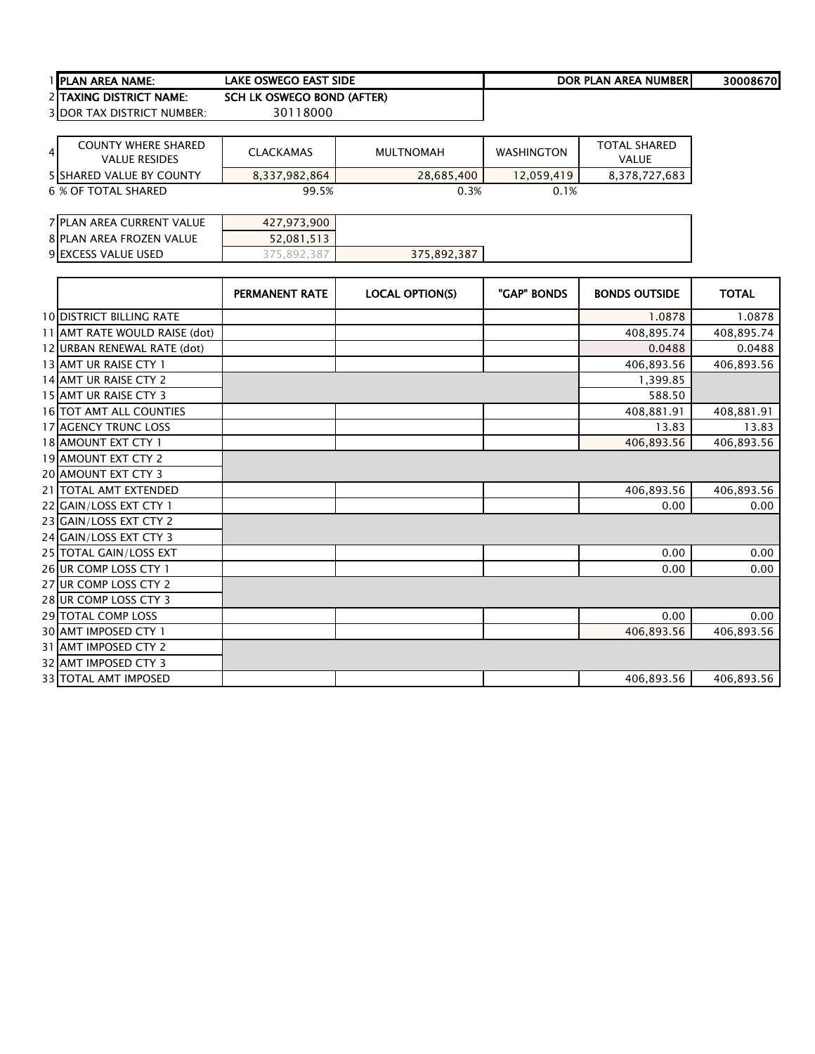| 1 <b>I</b> PLAN AREA NAME: | <b>LAKE OSWEGO EAST SIDE</b>    | DOR PLAN AREA NUMBER | 30008670 |
|----------------------------|---------------------------------|----------------------|----------|
| 2 ITAXING DISTRICT NAME:   | ' OSWEGO BOND (AFTER)<br>SCH LK |                      |          |

DOR TAX DISTRICT NUMBER: 30118000

| <b>COUNTY WHERE SHARED</b><br>$\overline{4}$<br><b>VALUE RESIDES</b> | <b>CLACKAMAS</b> | MULTNOMAH  | <b>WASHINGTON</b> | <b>TOTAL SHARED</b><br><b>VALUE</b> |
|----------------------------------------------------------------------|------------------|------------|-------------------|-------------------------------------|
| <b>5 ISHARED VALUE BY COUNTY</b>                                     | 8,337,982,864    | 28,685,400 | 12.059.419        | 8,378,727,683                       |
| 6 % OF TOTAL SHARED                                                  | 99.5%            | 0.3%       | 0.1%              |                                     |

| 7 PLAN AREA CURRENT VALUE | 427,973,900 |             |  |
|---------------------------|-------------|-------------|--|
| 8 PLAN AREA FROZEN VALUE  | 52,081,513  |             |  |
| 9 EXCESS VALUE USED       | .892.387    | 375,892,387 |  |

|                                 | <b>PERMANENT RATE</b> | <b>LOCAL OPTION(S)</b> | "GAP" BONDS | <b>BONDS OUTSIDE</b> | <b>TOTAL</b> |
|---------------------------------|-----------------------|------------------------|-------------|----------------------|--------------|
| <b>10 DISTRICT BILLING RATE</b> |                       |                        |             | 1.0878               | 1.0878       |
| 11 AMT RATE WOULD RAISE (dot)   |                       |                        |             | 408,895.74           | 408,895.74   |
| 12 URBAN RENEWAL RATE (dot)     |                       |                        |             | 0.0488               | 0.0488       |
| 13 AMT UR RAISE CTY 1           |                       |                        |             | 406,893.56           | 406,893.56   |
| 14 AMT UR RAISE CTY 2           |                       |                        |             | 1,399.85             |              |
| 15 AMT UR RAISE CTY 3           |                       |                        |             | 588.50               |              |
| <b>16 TOT AMT ALL COUNTIES</b>  |                       |                        |             | 408,881.91           | 408,881.91   |
| <b>17 AGENCY TRUNC LOSS</b>     |                       |                        |             | 13.83                | 13.83        |
| <b>18 AMOUNT EXT CTY 1</b>      |                       |                        |             | 406,893.56           | 406,893.56   |
| 19 AMOUNT EXT CTY 2             |                       |                        |             |                      |              |
| <b>20 AMOUNT EXT CTY 3</b>      |                       |                        |             |                      |              |
| 21 TOTAL AMT EXTENDED           |                       |                        |             | 406,893.56           | 406,893.56   |
| 22 GAIN/LOSS EXT CTY 1          |                       |                        |             | 0.00                 | 0.00         |
| 23 GAIN/LOSS EXT CTY 2          |                       |                        |             |                      |              |
| 24 GAIN/LOSS EXT CTY 3          |                       |                        |             |                      |              |
| 25 TOTAL GAIN/LOSS EXT          |                       |                        |             | 0.00                 | 0.00         |
| 26 UR COMP LOSS CTY 1           |                       |                        |             | 0.00                 | 0.00         |
| 27 UR COMP LOSS CTY 2           |                       |                        |             |                      |              |
| 28 UR COMP LOSS CTY 3           |                       |                        |             |                      |              |
| <b>29 TOTAL COMP LOSS</b>       |                       |                        |             | 0.00                 | 0.00         |
| 30 AMT IMPOSED CTY 1            |                       |                        |             | 406,893.56           | 406,893.56   |
| 31 AMT IMPOSED CTY 2            |                       |                        |             |                      |              |
| 32 AMT IMPOSED CTY 3            |                       |                        |             |                      |              |
| <b>33 TOTAL AMT IMPOSED</b>     |                       |                        |             | 406,893.56           | 406,893.56   |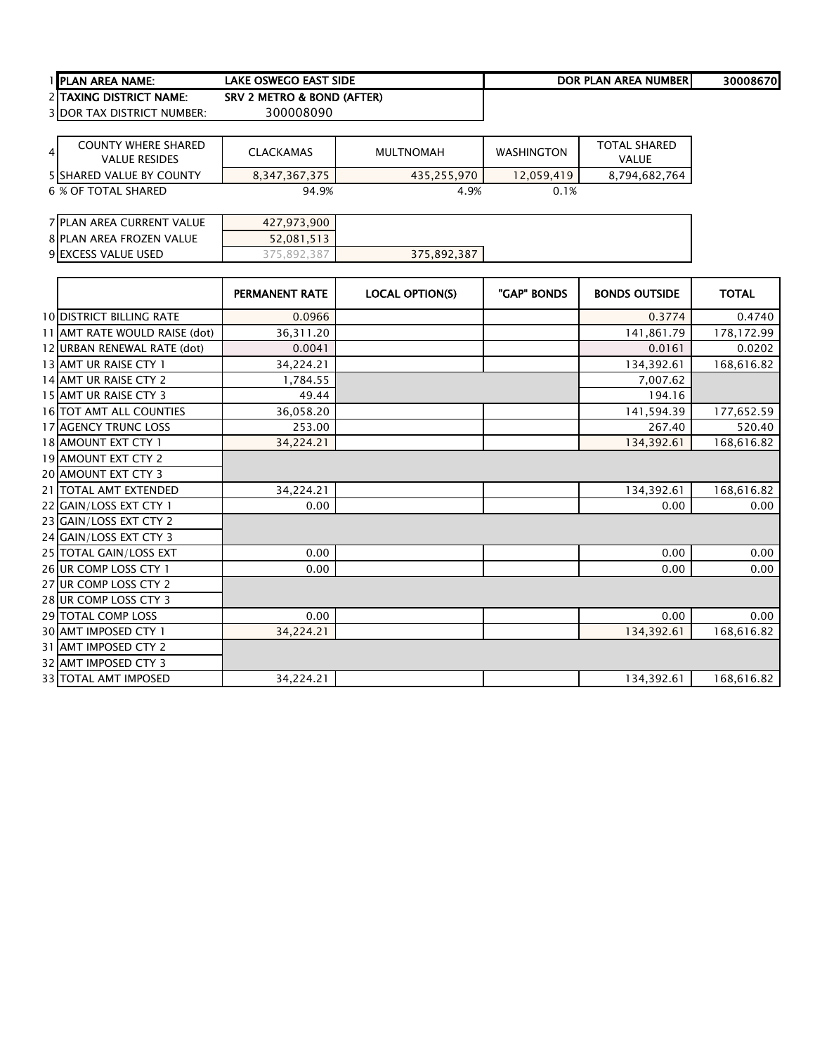| 1 <b>I</b> PLAN AREA NAME: | <b>LAKE OSWEGO EAST SIDE</b> | DOR PLAN AREA NUMBER | 30008670 |
|----------------------------|------------------------------|----------------------|----------|
| 2 ITAXING DISTRICT NAME:   | SRV 2 METRO & BOND (AFTER)   |                      |          |

 $\overline{\phantom{a}}$ 

DOR TAX DISTRICT NUMBER: 300008090

| <b>COUNTY WHERE SHARED</b><br>41<br><b>VALUE RESIDES</b> | <b>CLACKAMAS</b> | MULTNOMAH   | <b>WASHINGTON</b> | <b>TOTAL SHARED</b><br>VALUE |
|----------------------------------------------------------|------------------|-------------|-------------------|------------------------------|
| <b>5 ISHARED VALUE BY COUNTY</b>                         | 8,347,367,375    | 435,255,970 | 12.059.419        | 8,794,682,764                |
| 6 % OF TOTAL SHARED                                      | 94.9%            | 4.9%        | 0.1%              |                              |

| 7 PLAN AREA CURRENT VALUE | 427,973,900 |             |  |
|---------------------------|-------------|-------------|--|
| 8 PLAN AREA FROZEN VALUE  | 52,081,513  |             |  |
| 9 EXCESS VALUE USED       | .387<br>89z | 375,892,387 |  |

|                                 | PERMANENT RATE | <b>LOCAL OPTION(S)</b> | "GAP" BONDS | <b>BONDS OUTSIDE</b> | <b>TOTAL</b> |
|---------------------------------|----------------|------------------------|-------------|----------------------|--------------|
| <b>10 DISTRICT BILLING RATE</b> | 0.0966         |                        |             | 0.3774               | 0.4740       |
| 11 AMT RATE WOULD RAISE (dot)   | 36,311.20      |                        |             | 141,861.79           | 178,172.99   |
| 12 URBAN RENEWAL RATE (dot)     | 0.0041         |                        |             | 0.0161               | 0.0202       |
| 13 AMT UR RAISE CTY 1           | 34,224.21      |                        |             | 134,392.61           | 168,616.82   |
| 14 AMT UR RAISE CTY 2           | 1,784.55       |                        |             | 7,007.62             |              |
| 15 AMT UR RAISE CTY 3           | 49.44          |                        |             | 194.16               |              |
| <b>16 TOT AMT ALL COUNTIES</b>  | 36,058.20      |                        |             | 141,594.39           | 177,652.59   |
| 17 AGENCY TRUNC LOSS            | 253.00         |                        |             | 267.40               | 520.40       |
| 18 AMOUNT EXT CTY 1             | 34,224.21      |                        |             | 134,392.61           | 168,616.82   |
| 19 AMOUNT EXT CTY 2             |                |                        |             |                      |              |
| 20 AMOUNT EXT CTY 3             |                |                        |             |                      |              |
| 21 TOTAL AMT EXTENDED           | 34,224.21      |                        |             | 134,392.61           | 168,616.82   |
| 22 GAIN/LOSS EXT CTY 1          | 0.00           |                        |             | 0.00                 | 0.00         |
| 23 GAIN/LOSS EXT CTY 2          |                |                        |             |                      |              |
| 24 GAIN/LOSS EXT CTY 3          |                |                        |             |                      |              |
| 25 TOTAL GAIN/LOSS EXT          | 0.00           |                        |             | 0.00                 | 0.00         |
| 26 UR COMP LOSS CTY 1           | 0.00           |                        |             | 0.00                 | 0.00         |
| 27 UR COMP LOSS CTY 2           |                |                        |             |                      |              |
| 28 UR COMP LOSS CTY 3           |                |                        |             |                      |              |
| 29 TOTAL COMP LOSS              | 0.00           |                        |             | 0.00                 | 0.00         |
| 30 AMT IMPOSED CTY 1            | 34,224.21      |                        |             | 134,392.61           | 168,616.82   |
| 31 AMT IMPOSED CTY 2            |                |                        |             |                      |              |
| 32 AMT IMPOSED CTY 3            |                |                        |             |                      |              |
| 33 TOTAL AMT IMPOSED            | 34,224.21      |                        |             | 134,392.61           | 168,616.82   |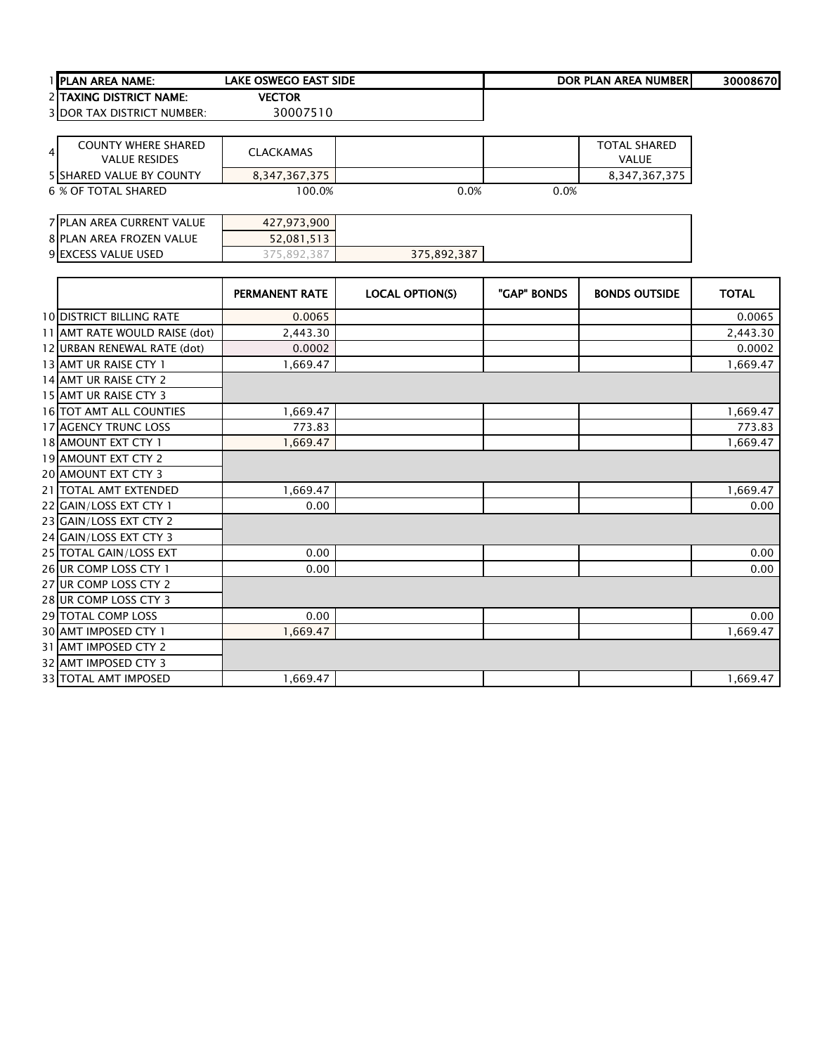|               | 1 PLAN AREA NAME:                 | <b>LAKE OSWEGO EAST SIDE</b> |                        |             | <b>DOR PLAN AREA NUMBER</b> | 30008670     |
|---------------|-----------------------------------|------------------------------|------------------------|-------------|-----------------------------|--------------|
|               | 2 TAXING DISTRICT NAME:           | <b>VECTOR</b>                |                        |             |                             |              |
|               | <b>3 DOR TAX DISTRICT NUMBER:</b> | 30007510                     |                        |             |                             |              |
|               |                                   |                              |                        |             |                             |              |
|               | <b>COUNTY WHERE SHARED</b>        |                              |                        |             | <b>TOTAL SHARED</b>         |              |
| $\frac{4}{ }$ | <b>VALUE RESIDES</b>              | <b>CLACKAMAS</b>             |                        |             | <b>VALUE</b>                |              |
|               | 5 SHARED VALUE BY COUNTY          | 8,347,367,375                |                        |             | 8,347,367,375               |              |
|               | 6 % OF TOTAL SHARED               | 100.0%                       | 0.0%                   | 0.0%        |                             |              |
|               |                                   |                              |                        |             |                             |              |
|               | 7 PLAN AREA CURRENT VALUE         | 427,973,900                  |                        |             |                             |              |
|               | <b>8 PLAN AREA FROZEN VALUE</b>   | 52,081,513                   |                        |             |                             |              |
|               | 9 EXCESS VALUE USED               | 375,892,387                  | 375,892,387            |             |                             |              |
|               |                                   |                              |                        |             |                             |              |
|               |                                   | <b>PERMANENT RATE</b>        | <b>LOCAL OPTION(S)</b> | "GAP" BONDS | <b>BONDS OUTSIDE</b>        | <b>TOTAL</b> |
|               | <b>10 DISTRICT BILLING RATE</b>   | 0.0065                       |                        |             |                             | 0.0065       |
|               | 11 AMT RATE WOULD RAISE (dot)     | 2,443.30                     |                        |             |                             | 2,443.30     |
|               | 12 URBAN RENEWAL RATE (dot)       | 0.0002                       |                        |             |                             | 0.0002       |
|               | 13 AMT UR RAISE CTY 1             | 1,669.47                     |                        |             |                             | 1,669.47     |
|               | 14 AMT UR RAISE CTY 2             |                              |                        |             |                             |              |
|               | 15 AMT UR RAISE CTY 3             |                              |                        |             |                             |              |
|               | 16 TOT AMT ALL COUNTIES           | 1,669.47                     |                        |             |                             | 1,669.47     |
|               | 17 AGENCY TRUNC LOSS              | 773.83                       |                        |             |                             | 773.83       |
|               | 18 AMOUNT EXT CTY 1               | 1,669.47                     |                        |             |                             | 1,669.47     |
|               | 19 AMOUNT EXT CTY 2               |                              |                        |             |                             |              |
|               | 20 AMOUNT EXT CTY 3               |                              |                        |             |                             |              |
|               | 21   TOTAL AMT EXTENDED           | 1,669.47                     |                        |             |                             | 1,669.47     |
|               | 22 GAIN/LOSS EXT CTY 1            | 0.00                         |                        |             |                             | 0.00         |
|               | 23 GAIN/LOSS EXT CTY 2            |                              |                        |             |                             |              |
|               | 24 GAIN/LOSS EXT CTY 3            |                              |                        |             |                             |              |
|               | 25 TOTAL GAIN/LOSS EXT            | 0.00                         |                        |             |                             | 0.00         |
|               | 26 UR COMP LOSS CTY 1             | 0.00                         |                        |             |                             | 0.00         |
|               | 27 UR COMP LOSS CTY 2             |                              |                        |             |                             |              |
|               | 28 UR COMP LOSS CTY 3             |                              |                        |             |                             |              |
|               | 29 TOTAL COMP LOSS                | 0.00                         |                        |             |                             | 0.00         |
|               | 30 AMT IMPOSED CTY 1              | 1,669.47                     |                        |             |                             | 1,669.47     |
|               | 31 AMT IMPOSED CTY 2              |                              |                        |             |                             |              |
|               | 32 AMT IMPOSED CTY 3              |                              |                        |             |                             |              |
|               | 33 TOTAL AMT IMPOSED              | 1,669.47                     |                        |             |                             | 1,669.47     |